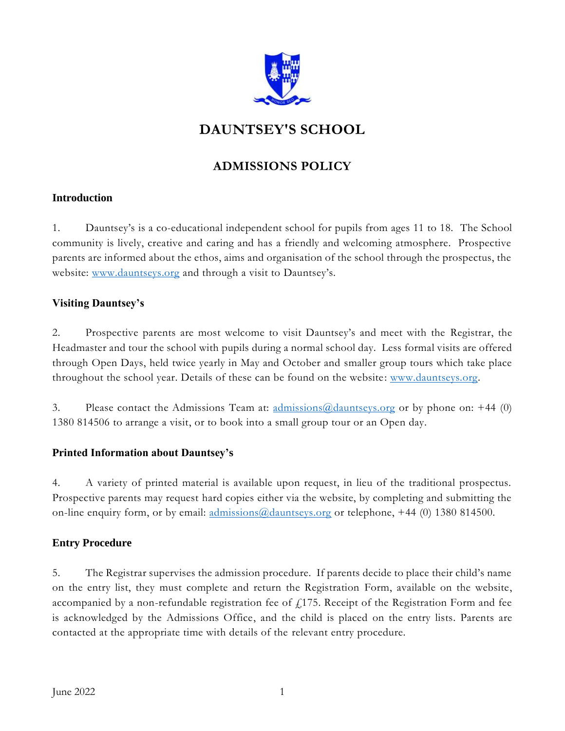

# **DAUNTSEY'S SCHOOL**

## **ADMISSIONS POLICY**

## **Introduction**

1. Dauntsey's is a co-educational independent school for pupils from ages 11 to 18. The School community is lively, creative and caring and has a friendly and welcoming atmosphere. Prospective parents are informed about the ethos, aims and organisation of the school through the prospectus, the website: [www.dauntseys.org](http://www.dauntseys.org/) and through a visit to Dauntsey's.

## **Visiting Dauntsey's**

2. Prospective parents are most welcome to visit Dauntsey's and meet with the Registrar, the Headmaster and tour the school with pupils during a normal school day. Less formal visits are offered through Open Days, held twice yearly in May and October and smaller group tours which take place throughout the school year. Details of these can be found on the website: [www.dauntseys.org.](http://www.dauntseys.org/)

3. Please contact the Admissions Team at:  $\frac{\text{admissions}(a)\text{d$  $\text{auntseys.org}}{\text{of by phone on: +44 (0)}}$ 1380 814506 to arrange a visit, or to book into a small group tour or an Open day.

## **Printed Information about Dauntsey's**

4. A variety of printed material is available upon request, in lieu of the traditional prospectus. Prospective parents may request hard copies either via the website, by completing and submitting the on-line enquiry form, or by email: [admissions@dauntseys.org](mailto:admissions@dauntseys.org) or telephone, +44 (0) 1380 814500.

## **Entry Procedure**

5. The Registrar supervises the admission procedure. If parents decide to place their child's name on the entry list, they must complete and return the Registration Form, available on the website, accompanied by a non-refundable registration fee of  $f$ 175. Receipt of the Registration Form and fee is acknowledged by the Admissions Office, and the child is placed on the entry lists. Parents are contacted at the appropriate time with details of the relevant entry procedure.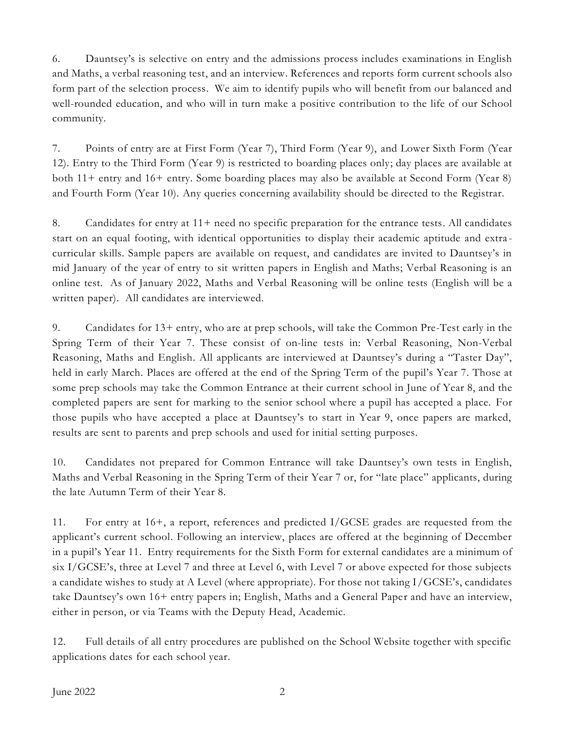6. Dauntsey's is selective on entry and the admissions process includes examinations in English and Maths, a verbal reasoning test, and an interview. References and reports form current schools also form part of the selection process. We aim to identify pupils who will benefit from our balanced and well-rounded education, and who will in turn make a positive contribution to the life of our School community.

7. Points of entry are at First Form (Year 7), Third Form (Year 9), and Lower Sixth Form (Year 12). Entry to the Third Form (Year 9) is restricted to boarding places only; day places are available at both 11+ entry and 16+ entry. Some boarding places may also be available at Second Form (Year 8) and Fourth Form (Year 10). Any queries concerning availability should be directed to the Registrar.

8. Candidates for entry at 11+ need no specific preparation for the entrance tests. All candidates start on an equal footing, with identical opportunities to display their academic aptitude and extra curricular skills. Sample papers are available on request, and candidates are invited to Dauntsey's in mid January of the year of entry to sit written papers in English and Maths; Verbal Reasoning is an online test. As of January 2022, Maths and Verbal Reasoning will be online tests (English will be a written paper). All candidates are interviewed.

9. Candidates for 13+ entry, who are at prep schools, will take the Common Pre-Test early in the Spring Term of their Year 7. These consist of on-line tests in: Verbal Reasoning, Non-Verbal Reasoning, Maths and English. All applicants are interviewed at Dauntsey's during a "Taster Day", held in early March. Places are offered at the end of the Spring Term of the pupil's Year 7. Those at some prep schools may take the Common Entrance at their current school in June of Year 8, and the completed papers are sent for marking to the senior school where a pupil has accepted a place. For those pupils who have accepted a place at Dauntsey's to start in Year 9, once papers are marked, results are sent to parents and prep schools and used for initial setting purposes.

10. Candidates not prepared for Common Entrance will take Dauntsey's own tests in English, Maths and Verbal Reasoning in the Spring Term of their Year 7 or, for "late place" applicants, during the late Autumn Term of their Year 8.

11. For entry at 16+, a report, references and predicted I/GCSE grades are requested from the applicant's current school. Following an interview, places are offered at the beginning of December in a pupil's Year 11. Entry requirements for the Sixth Form for external candidates are a minimum of six I/GCSE's, three at Level 7 and three at Level 6, with Level 7 or above expected for those subjects a candidate wishes to study at A Level (where appropriate). For those not taking I/GCSE's, candidates take Dauntsey's own 16+ entry papers in; English, Maths and a General Paper and have an interview, either in person, or via Teams with the Deputy Head, Academic.

12. Full details of all entry procedures are published on the School Website together with specific applications dates for each school year.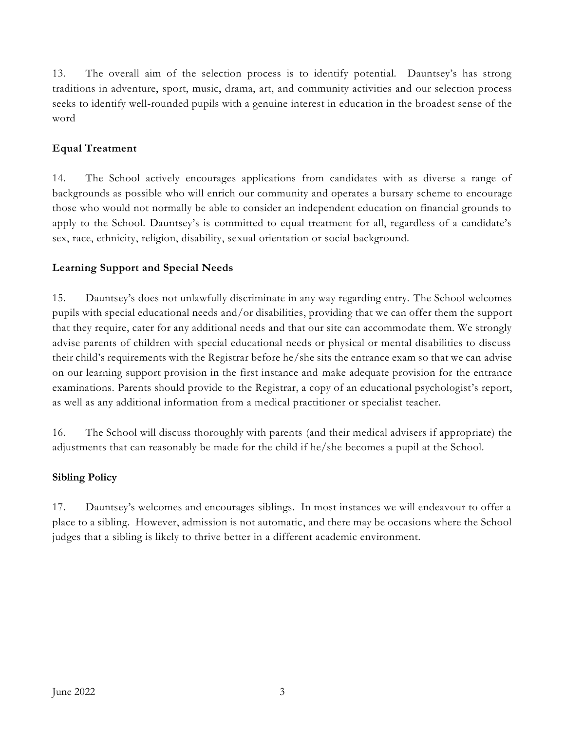13. The overall aim of the selection process is to identify potential. Dauntsey's has strong traditions in adventure, sport, music, drama, art, and community activities and our selection process seeks to identify well-rounded pupils with a genuine interest in education in the broadest sense of the word

## **Equal Treatment**

14. The School actively encourages applications from candidates with as diverse a range of backgrounds as possible who will enrich our community and operates a bursary scheme to encourage those who would not normally be able to consider an independent education on financial grounds to apply to the School. Dauntsey's is committed to equal treatment for all, regardless of a candidate's sex, race, ethnicity, religion, disability, sexual orientation or social background.

## **Learning Support and Special Needs**

15. Dauntsey's does not unlawfully discriminate in any way regarding entry. The School welcomes pupils with special educational needs and/or disabilities, providing that we can offer them the support that they require, cater for any additional needs and that our site can accommodate them. We strongly advise parents of children with special educational needs or physical or mental disabilities to discuss their child's requirements with the Registrar before he/she sits the entrance exam so that we can advise on our learning support provision in the first instance and make adequate provision for the entrance examinations. Parents should provide to the Registrar, a copy of an educational psychologist's report, as well as any additional information from a medical practitioner or specialist teacher.

16. The School will discuss thoroughly with parents (and their medical advisers if appropriate) the adjustments that can reasonably be made for the child if he/she becomes a pupil at the School.

## **Sibling Policy**

17. Dauntsey's welcomes and encourages siblings. In most instances we will endeavour to offer a place to a sibling. However, admission is not automatic, and there may be occasions where the School judges that a sibling is likely to thrive better in a different academic environment.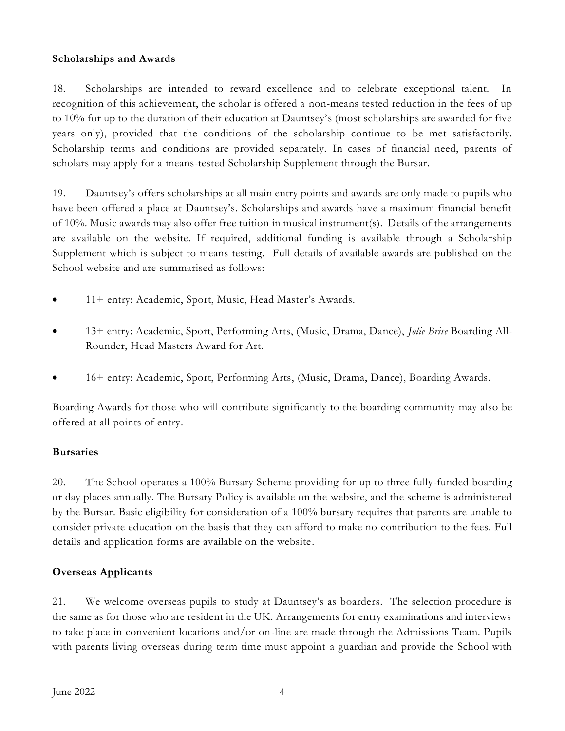#### **Scholarships and Awards**

18. Scholarships are intended to reward excellence and to celebrate exceptional talent. In recognition of this achievement, the scholar is offered a non-means tested reduction in the fees of up to 10% for up to the duration of their education at Dauntsey's (most scholarships are awarded for five years only), provided that the conditions of the scholarship continue to be met satisfactorily. Scholarship terms and conditions are provided separately. In cases of financial need, parents of scholars may apply for a means-tested Scholarship Supplement through the Bursar.

19. Dauntsey's offers scholarships at all main entry points and awards are only made to pupils who have been offered a place at Dauntsey's. Scholarships and awards have a maximum financial benefit of 10%. Music awards may also offer free tuition in musical instrument(s). Details of the arrangements are available on the website. If required, additional funding is available through a Scholarship Supplement which is subject to means testing. Full details of available awards are published on the School website and are summarised as follows:

- 11+ entry: Academic, Sport, Music, Head Master's Awards.
- 13+ entry: Academic, Sport, Performing Arts, (Music, Drama, Dance), *Jolie Brise* Boarding All-Rounder, Head Masters Award for Art.
- 16+ entry: Academic, Sport, Performing Arts, (Music, Drama, Dance), Boarding Awards.

Boarding Awards for those who will contribute significantly to the boarding community may also be offered at all points of entry.

#### **Bursaries**

20. The School operates a 100% Bursary Scheme providing for up to three fully-funded boarding or day places annually. The Bursary Policy is available on the website, and the scheme is administered by the Bursar. Basic eligibility for consideration of a 100% bursary requires that parents are unable to consider private education on the basis that they can afford to make no contribution to the fees. Full details and application forms are available on the website.

#### **Overseas Applicants**

21. We welcome overseas pupils to study at Dauntsey's as boarders. The selection procedure is the same as for those who are resident in the UK. Arrangements for entry examinations and interviews to take place in convenient locations and/or on-line are made through the Admissions Team. Pupils with parents living overseas during term time must appoint a guardian and provide the School with